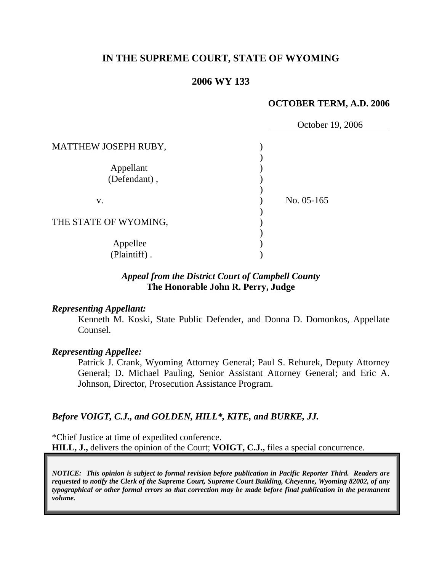# **IN THE SUPREME COURT, STATE OF WYOMING**

## **2006 WY 133**

## **OCTOBER TERM, A.D. 2006**

|                       | October 19, 2006 |  |
|-----------------------|------------------|--|
| MATTHEW JOSEPH RUBY,  |                  |  |
|                       |                  |  |
| Appellant             |                  |  |
| (Defendant),          |                  |  |
|                       |                  |  |
| V.                    | No. 05-165       |  |
| THE STATE OF WYOMING, |                  |  |
|                       |                  |  |
| Appellee              |                  |  |
| (Plaintiff).          |                  |  |

# *Appeal from the District Court of Campbell County* **The Honorable John R. Perry, Judge**

## *Representing Appellant:*

Kenneth M. Koski, State Public Defender, and Donna D. Domonkos, Appellate Counsel.

## *Representing Appellee:*

Patrick J. Crank, Wyoming Attorney General; Paul S. Rehurek, Deputy Attorney General; D. Michael Pauling, Senior Assistant Attorney General; and Eric A. Johnson, Director, Prosecution Assistance Program.

## *Before VOIGT, C.J., and GOLDEN, HILL\*, KITE, and BURKE, JJ.*

\*Chief Justice at time of expedited conference. **HILL, J.,** delivers the opinion of the Court; **VOIGT, C.J.,** files a special concurrence.

*NOTICE: This opinion is subject to formal revision before publication in Pacific Reporter Third. Readers are requested to notify the Clerk of the Supreme Court, Supreme Court Building, Cheyenne, Wyoming 82002, of any typographical or other formal errors so that correction may be made before final publication in the permanent volume.*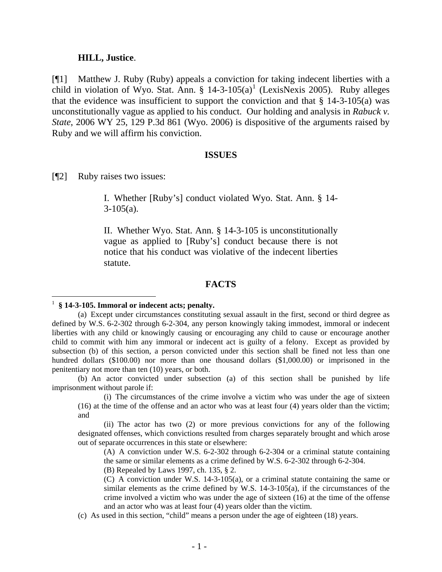#### **HILL, Justice**.

[¶1] Matthew J. Ruby (Ruby) appeals a conviction for taking indecent liberties with a child in violation of Wyo. Stat. Ann.  $\S$  [1](#page-2-0)4-3-105(a)<sup>1</sup> (LexisNexis 2005). Ruby alleges that the evidence was insufficient to support the conviction and that  $\S$  14-3-105(a) was unconstitutionally vague as applied to his conduct. Our holding and analysis in *Rabuck v. State*, 2006 WY 25, 129 P.3d 861 (Wyo. 2006) is dispositive of the arguments raised by Ruby and we will affirm his conviction.

#### **ISSUES**

[¶2] Ruby raises two issues:

I. Whether [Ruby's] conduct violated Wyo. Stat. Ann. § 14-  $3-105(a)$ .

II. Whether Wyo. Stat. Ann. § 14-3-105 is unconstitutionally vague as applied to [Ruby's] conduct because there is not notice that his conduct was violative of the indecent liberties statute.

#### **FACTS**

(b) An actor convicted under subsection (a) of this section shall be punished by life imprisonment without parole if:

(i) The circumstances of the crime involve a victim who was under the age of sixteen (16) at the time of the offense and an actor who was at least four (4) years older than the victim; and

(ii) The actor has two (2) or more previous convictions for any of the following designated offenses, which convictions resulted from charges separately brought and which arose out of separate occurrences in this state or elsewhere:

(A) A conviction under W.S. 6-2-302 through 6-2-304 or a criminal statute containing the same or similar elements as a crime defined by W.S. 6-2-302 through 6-2-304.

(B) Repealed by Laws 1997, ch. 135, § 2.

(C) A conviction under W.S. 14-3-105(a), or a criminal statute containing the same or similar elements as the crime defined by W.S. 14-3-105(a), if the circumstances of the crime involved a victim who was under the age of sixteen (16) at the time of the offense and an actor who was at least four (4) years older than the victim.

(c) As used in this section, "child" means a person under the age of eighteen (18) years.

<span id="page-2-0"></span><sup>1</sup> **§ 14-3-105. Immoral or indecent acts; penalty.**

<sup>(</sup>a) Except under circumstances constituting sexual assault in the first, second or third degree as defined by W.S. 6-2-302 through 6-2-304, any person knowingly taking immodest, immoral or indecent liberties with any child or knowingly causing or encouraging any child to cause or encourage another child to commit with him any immoral or indecent act is guilty of a felony. Except as provided by subsection (b) of this section, a person convicted under this section shall be fined not less than one hundred dollars (\$100.00) nor more than one thousand dollars (\$1,000.00) or imprisoned in the penitentiary not more than ten (10) years, or both.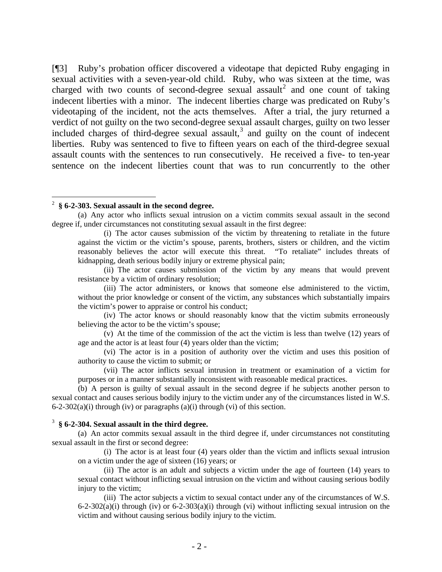[¶3] Ruby's probation officer discovered a videotape that depicted Ruby engaging in sexual activities with a seven-year-old child. Ruby, who was sixteen at the time, was charged with two counts of second-degree sexual assault<sup>[2](#page-3-0)</sup> and one count of taking indecent liberties with a minor. The indecent liberties charge was predicated on Ruby's videotaping of the incident, not the acts themselves. After a trial, the jury returned a verdict of not guilty on the two second-degree sexual assault charges, guilty on two lesser included charges of third-degree sexual assault, $3$  and guilty on the count of indecent liberties. Ruby was sentenced to five to fifteen years on each of the third-degree sexual assault counts with the sentences to run consecutively. He received a five- to ten-year sentence on the indecent liberties count that was to run concurrently to the other

### <span id="page-3-0"></span>2 **§ 6-2-303. Sexual assault in the second degree.**

(a) Any actor who inflicts sexual intrusion on a victim commits sexual assault in the second degree if, under circumstances not constituting sexual assault in the first degree:

(i) The actor causes submission of the victim by threatening to retaliate in the future against the victim or the victim's spouse, parents, brothers, sisters or children, and the victim reasonably believes the actor will execute this threat. "To retaliate" includes threats of kidnapping, death serious bodily injury or extreme physical pain;

(ii) The actor causes submission of the victim by any means that would prevent resistance by a victim of ordinary resolution;

(iii) The actor administers, or knows that someone else administered to the victim, without the prior knowledge or consent of the victim, any substances which substantially impairs the victim's power to appraise or control his conduct;

(iv) The actor knows or should reasonably know that the victim submits erroneously believing the actor to be the victim's spouse;

(v) At the time of the commission of the act the victim is less than twelve (12) years of age and the actor is at least four (4) years older than the victim;

(vi) The actor is in a position of authority over the victim and uses this position of authority to cause the victim to submit; or

(vii) The actor inflicts sexual intrusion in treatment or examination of a victim for purposes or in a manner substantially inconsistent with reasonable medical practices.

(b) A person is guilty of sexual assault in the second degree if he subjects another person to sexual contact and causes serious bodily injury to the victim under any of the circumstances listed in W.S.  $6-2-302(a)(i)$  through (iv) or paragraphs (a)(i) through (vi) of this section.

### <span id="page-3-1"></span>3 **§ 6-2-304. Sexual assault in the third degree.**

(a) An actor commits sexual assault in the third degree if, under circumstances not constituting sexual assault in the first or second degree:

(i) The actor is at least four (4) years older than the victim and inflicts sexual intrusion on a victim under the age of sixteen (16) years; or

(ii) The actor is an adult and subjects a victim under the age of fourteen (14) years to sexual contact without inflicting sexual intrusion on the victim and without causing serious bodily injury to the victim;

(iii) The actor subjects a victim to sexual contact under any of the circumstances of W.S.  $6-2-302(a)(i)$  through (iv) or  $6-2-303(a)(i)$  through (vi) without inflicting sexual intrusion on the victim and without causing serious bodily injury to the victim.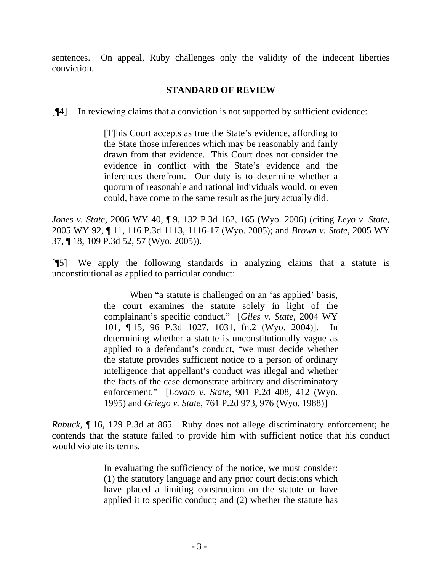sentences. On appeal, Ruby challenges only the validity of the indecent liberties conviction.

# **STANDARD OF REVIEW**

[¶4] In reviewing claims that a conviction is not supported by sufficient evidence:

[T]his Court accepts as true the State's evidence, affording to the State those inferences which may be reasonably and fairly drawn from that evidence. This Court does not consider the evidence in conflict with the State's evidence and the inferences therefrom. Our duty is to determine whether a quorum of reasonable and rational individuals would, or even could, have come to the same result as the jury actually did.

*Jones v. State*, 2006 WY 40, ¶ 9, 132 P.3d 162, 165 (Wyo. 2006) (citing *Leyo v. State*, 2005 WY 92, ¶ 11, 116 P.3d 1113, 1116-17 (Wyo. 2005); and *Brown v. State*, 2005 WY 37, ¶ 18, 109 P.3d 52, 57 (Wyo. 2005)).

[¶5] We apply the following standards in analyzing claims that a statute is unconstitutional as applied to particular conduct:

> When "a statute is challenged on an 'as applied' basis, the court examines the statute solely in light of the complainant's specific conduct." [*Giles v. State*, 2004 WY 101, ¶ 15, 96 P.3d 1027, 1031, fn.2 (Wyo. 2004)]. In determining whether a statute is unconstitutionally vague as applied to a defendant's conduct, "we must decide whether the statute provides sufficient notice to a person of ordinary intelligence that appellant's conduct was illegal and whether the facts of the case demonstrate arbitrary and discriminatory enforcement." [*Lovato v. State*, 901 P.2d 408, 412 (Wyo. 1995) and *Griego v. State*, 761 P.2d 973, 976 (Wyo. 1988)]

*Rabuck*, ¶ 16, 129 P.3d at 865. Ruby does not allege discriminatory enforcement; he contends that the statute failed to provide him with sufficient notice that his conduct would violate its terms.

> In evaluating the sufficiency of the notice, we must consider: (1) the statutory language and any prior court decisions which have placed a limiting construction on the statute or have applied it to specific conduct; and (2) whether the statute has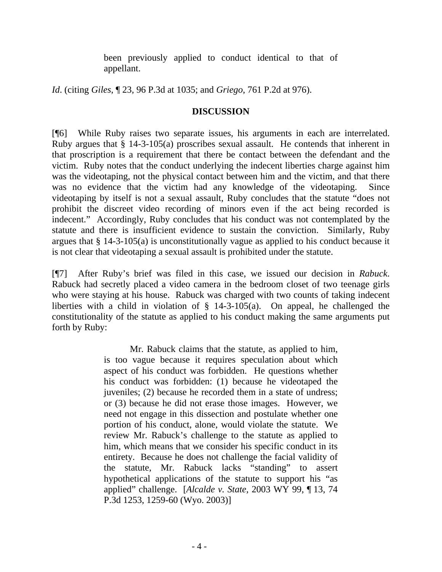been previously applied to conduct identical to that of appellant.

*Id*. (citing *Giles*, ¶ 23, 96 P.3d at 1035; and *Griego*, 761 P.2d at 976).

## **DISCUSSION**

[¶6] While Ruby raises two separate issues, his arguments in each are interrelated. Ruby argues that § 14-3-105(a) proscribes sexual assault. He contends that inherent in that proscription is a requirement that there be contact between the defendant and the victim. Ruby notes that the conduct underlying the indecent liberties charge against him was the videotaping, not the physical contact between him and the victim, and that there was no evidence that the victim had any knowledge of the videotaping. Since videotaping by itself is not a sexual assault, Ruby concludes that the statute "does not prohibit the discreet video recording of minors even if the act being recorded is indecent." Accordingly, Ruby concludes that his conduct was not contemplated by the statute and there is insufficient evidence to sustain the conviction. Similarly, Ruby argues that § 14-3-105(a) is unconstitutionally vague as applied to his conduct because it is not clear that videotaping a sexual assault is prohibited under the statute.

[¶7] After Ruby's brief was filed in this case, we issued our decision in *Rabuck*. Rabuck had secretly placed a video camera in the bedroom closet of two teenage girls who were staying at his house. Rabuck was charged with two counts of taking indecent liberties with a child in violation of § 14-3-105(a). On appeal, he challenged the constitutionality of the statute as applied to his conduct making the same arguments put forth by Ruby:

> Mr. Rabuck claims that the statute, as applied to him, is too vague because it requires speculation about which aspect of his conduct was forbidden. He questions whether his conduct was forbidden: (1) because he videotaped the juveniles; (2) because he recorded them in a state of undress; or (3) because he did not erase those images. However, we need not engage in this dissection and postulate whether one portion of his conduct, alone, would violate the statute. We review Mr. Rabuck's challenge to the statute as applied to him, which means that we consider his specific conduct in its entirety. Because he does not challenge the facial validity of the statute, Mr. Rabuck lacks "standing" to assert hypothetical applications of the statute to support his "as applied" challenge. [*Alcalde v. State*, 2003 WY 99, ¶ 13, 74 P.3d 1253, 1259-60 (Wyo. 2003)]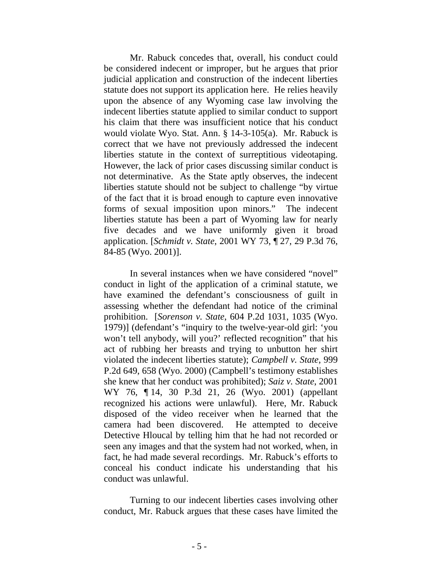Mr. Rabuck concedes that, overall, his conduct could be considered indecent or improper, but he argues that prior judicial application and construction of the indecent liberties statute does not support its application here. He relies heavily upon the absence of any Wyoming case law involving the indecent liberties statute applied to similar conduct to support his claim that there was insufficient notice that his conduct would violate Wyo. Stat. Ann. § 14-3-105(a). Mr. Rabuck is correct that we have not previously addressed the indecent liberties statute in the context of surreptitious videotaping. However, the lack of prior cases discussing similar conduct is not determinative. As the State aptly observes, the indecent liberties statute should not be subject to challenge "by virtue of the fact that it is broad enough to capture even innovative forms of sexual imposition upon minors." The indecent liberties statute has been a part of Wyoming law for nearly five decades and we have uniformly given it broad application. [*Schmidt v. State*, 2001 WY 73, ¶ 27, 29 P.3d 76, 84-85 (Wyo. 2001)].

In several instances when we have considered "novel" conduct in light of the application of a criminal statute, we have examined the defendant's consciousness of guilt in assessing whether the defendant had notice of the criminal prohibition. [*Sorenson v. State*, 604 P.2d 1031, 1035 (Wyo. 1979)] (defendant's "inquiry to the twelve-year-old girl: 'you won't tell anybody, will you?' reflected recognition" that his act of rubbing her breasts and trying to unbutton her shirt violated the indecent liberties statute); *Campbell v. State*, 999 P.2d 649, 658 (Wyo. 2000) (Campbell's testimony establishes she knew that her conduct was prohibited); *Saiz v. State*, 2001 WY 76, ¶ 14, 30 P.3d 21, 26 (Wyo. 2001) (appellant recognized his actions were unlawful). Here, Mr. Rabuck disposed of the video receiver when he learned that the camera had been discovered. He attempted to deceive Detective Hloucal by telling him that he had not recorded or seen any images and that the system had not worked, when, in fact, he had made several recordings. Mr. Rabuck's efforts to conceal his conduct indicate his understanding that his conduct was unlawful.

Turning to our indecent liberties cases involving other conduct, Mr. Rabuck argues that these cases have limited the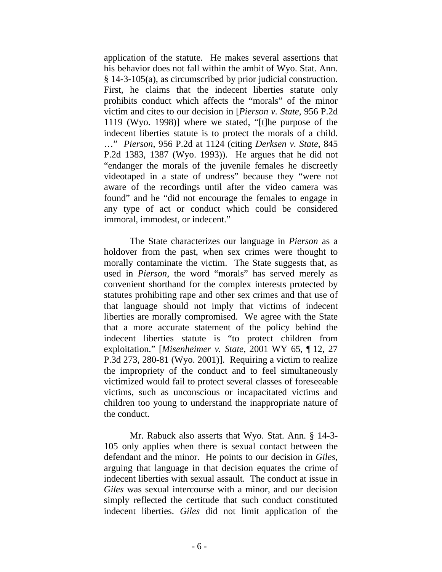application of the statute. He makes several assertions that his behavior does not fall within the ambit of Wyo. Stat. Ann. § 14-3-105(a), as circumscribed by prior judicial construction. First, he claims that the indecent liberties statute only prohibits conduct which affects the "morals" of the minor victim and cites to our decision in [*Pierson v. State*, 956 P.2d 1119 (Wyo. 1998)] where we stated, "[t]he purpose of the indecent liberties statute is to protect the morals of a child. …" *Pierson*, 956 P.2d at 1124 (citing *Derksen v. State*, 845 P.2d 1383, 1387 (Wyo. 1993)). He argues that he did not "endanger the morals of the juvenile females he discreetly videotaped in a state of undress" because they "were not aware of the recordings until after the video camera was found" and he "did not encourage the females to engage in any type of act or conduct which could be considered immoral, immodest, or indecent."

The State characterizes our language in *Pierson* as a holdover from the past, when sex crimes were thought to morally contaminate the victim. The State suggests that, as used in *Pierson*, the word "morals" has served merely as convenient shorthand for the complex interests protected by statutes prohibiting rape and other sex crimes and that use of that language should not imply that victims of indecent liberties are morally compromised. We agree with the State that a more accurate statement of the policy behind the indecent liberties statute is "to protect children from exploitation." [*Misenheimer v. State*, 2001 WY 65, ¶ 12, 27 P.3d 273, 280-81 (Wyo. 2001)]. Requiring a victim to realize the impropriety of the conduct and to feel simultaneously victimized would fail to protect several classes of foreseeable victims, such as unconscious or incapacitated victims and children too young to understand the inappropriate nature of the conduct.

Mr. Rabuck also asserts that Wyo. Stat. Ann. § 14-3- 105 only applies when there is sexual contact between the defendant and the minor. He points to our decision in *Giles*, arguing that language in that decision equates the crime of indecent liberties with sexual assault. The conduct at issue in *Giles* was sexual intercourse with a minor, and our decision simply reflected the certitude that such conduct constituted indecent liberties. *Giles* did not limit application of the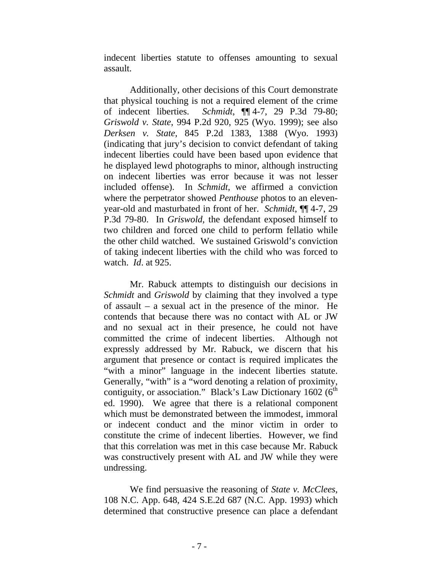indecent liberties statute to offenses amounting to sexual assault.

Additionally, other decisions of this Court demonstrate that physical touching is not a required element of the crime of indecent liberties. *Schmidt*, ¶¶ 4-7, 29 P.3d 79-80; *Griswold v. State*, 994 P.2d 920, 925 (Wyo. 1999); see also *Derksen v. State*, 845 P.2d 1383, 1388 (Wyo. 1993) (indicating that jury's decision to convict defendant of taking indecent liberties could have been based upon evidence that he displayed lewd photographs to minor, although instructing on indecent liberties was error because it was not lesser included offense). In *Schmidt*, we affirmed a conviction where the perpetrator showed *Penthouse* photos to an elevenyear-old and masturbated in front of her. *Schmidt*, ¶¶ 4-7, 29 P.3d 79-80. In *Griswold*, the defendant exposed himself to two children and forced one child to perform fellatio while the other child watched. We sustained Griswold's conviction of taking indecent liberties with the child who was forced to watch. *Id*. at 925.

Mr. Rabuck attempts to distinguish our decisions in *Schmidt* and *Griswold* by claiming that they involved a type of assault – a sexual act in the presence of the minor. He contends that because there was no contact with AL or JW and no sexual act in their presence, he could not have committed the crime of indecent liberties. Although not expressly addressed by Mr. Rabuck, we discern that his argument that presence or contact is required implicates the "with a minor" language in the indecent liberties statute. Generally, "with" is a "word denoting a relation of proximity, contiguity, or association." Black's Law Dictionary 1602 ( $6<sup>th</sup>$ ed. 1990). We agree that there is a relational component which must be demonstrated between the immodest, immoral or indecent conduct and the minor victim in order to constitute the crime of indecent liberties. However, we find that this correlation was met in this case because Mr. Rabuck was constructively present with AL and JW while they were undressing.

We find persuasive the reasoning of *State v. McClees*, 108 N.C. App. 648, 424 S.E.2d 687 (N.C. App. 1993) which determined that constructive presence can place a defendant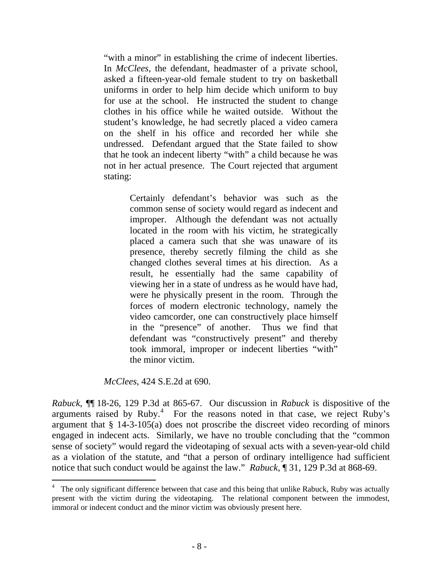"with a minor" in establishing the crime of indecent liberties. In *McClees*, the defendant, headmaster of a private school, asked a fifteen-year-old female student to try on basketball uniforms in order to help him decide which uniform to buy for use at the school. He instructed the student to change clothes in his office while he waited outside. Without the student's knowledge, he had secretly placed a video camera on the shelf in his office and recorded her while she undressed. Defendant argued that the State failed to show that he took an indecent liberty "with" a child because he was not in her actual presence. The Court rejected that argument stating:

> Certainly defendant's behavior was such as the common sense of society would regard as indecent and improper. Although the defendant was not actually located in the room with his victim, he strategically placed a camera such that she was unaware of its presence, thereby secretly filming the child as she changed clothes several times at his direction. As a result, he essentially had the same capability of viewing her in a state of undress as he would have had, were he physically present in the room. Through the forces of modern electronic technology, namely the video camcorder, one can constructively place himself in the "presence" of another. Thus we find that defendant was "constructively present" and thereby took immoral, improper or indecent liberties "with" the minor victim.

*McClees*, 424 S.E.2d at 690.

l

*Rabuck*, ¶¶ 18-26, 129 P.3d at 865-67. Our discussion in *Rabuck* is dispositive of the arguments raised by Ruby. $4\degree$  $4\degree$  For the reasons noted in that case, we reject Ruby's argument that § 14-3-105(a) does not proscribe the discreet video recording of minors engaged in indecent acts. Similarly, we have no trouble concluding that the "common sense of society" would regard the videotaping of sexual acts with a seven-year-old child as a violation of the statute, and "that a person of ordinary intelligence had sufficient notice that such conduct would be against the law." *Rabuck*, ¶ 31, 129 P.3d at 868-69.

<span id="page-9-0"></span><sup>4</sup> The only significant difference between that case and this being that unlike Rabuck, Ruby was actually present with the victim during the videotaping. The relational component between the immodest, immoral or indecent conduct and the minor victim was obviously present here.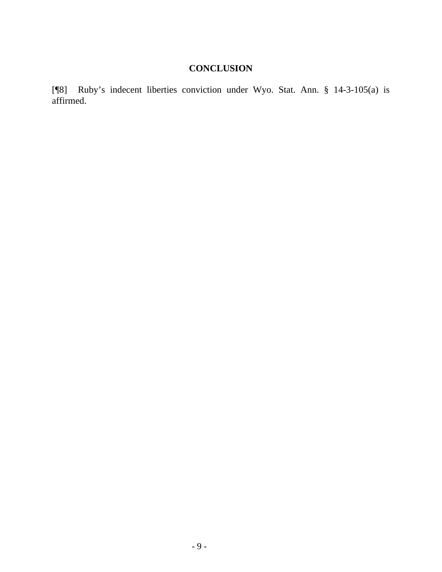# **CONCLUSION**

[¶8] Ruby's indecent liberties conviction under Wyo. Stat. Ann. § 14-3-105(a) is affirmed.